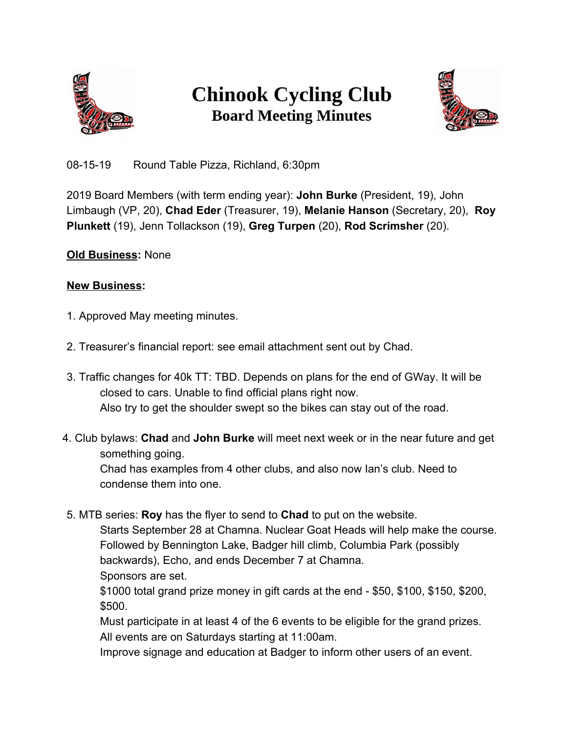

## **Chinook Cycling Club Board Meeting Minutes**



08-15-19 Round Table Pizza, Richland, 6:30pm

2019 Board Members (with term ending year): **John Burke** (President, 19), John Limbaugh (VP, 20), **Chad Eder** (Treasurer, 19), **Melanie Hanson** (Secretary, 20), **Roy Plunkett** (19), Jenn Tollackson (19), **Greg Turpen** (20), **Rod Scrimsher** (20).

## **Old Business:** None

## **New Business:**

- 1. Approved May meeting minutes.
- 2. Treasurer's financial report: see email attachment sent out by Chad.
- 3. Traffic changes for 40k TT: TBD. Depends on plans for the end of GWay. It will be closed to cars. Unable to find official plans right now. Also try to get the shoulder swept so the bikes can stay out of the road.
- 4. Club bylaws: **Chad** and **John Burke** will meet next week or in the near future and get something going.

Chad has examples from 4 other clubs, and also now Ian's club. Need to condense them into one.

5. MTB series: **Roy** has the flyer to send to **Chad** to put on the website.

Starts September 28 at Chamna. Nuclear Goat Heads will help make the course. Followed by Bennington Lake, Badger hill climb, Columbia Park (possibly backwards), Echo, and ends December 7 at Chamna. Sponsors are set.

\$1000 total grand prize money in gift cards at the end - \$50, \$100, \$150, \$200, \$500.

Must participate in at least 4 of the 6 events to be eligible for the grand prizes. All events are on Saturdays starting at 11:00am.

Improve signage and education at Badger to inform other users of an event.